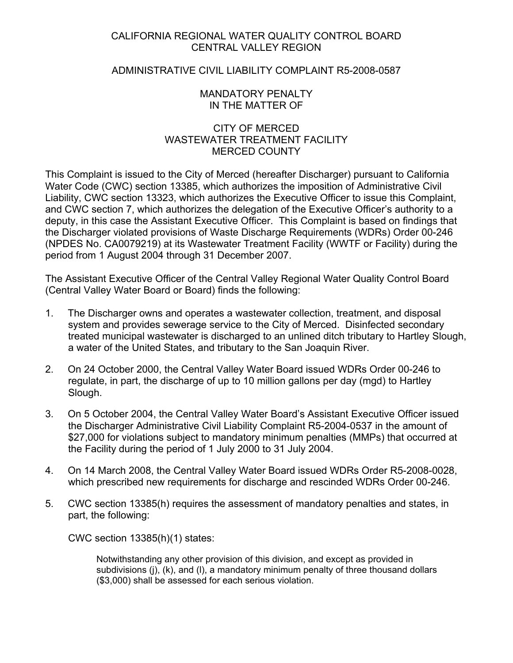## CALIFORNIA REGIONAL WATER QUALITY CONTROL BOARD CENTRAL VALLEY REGION

## ADMINISTRATIVE CIVIL LIABILITY COMPLAINT R5-2008-0587

## MANDATORY PENALTY IN THE MATTER OF

## CITY OF MERCED WASTEWATER TREATMENT FACILITY MERCED COUNTY

This Complaint is issued to the City of Merced (hereafter Discharger) pursuant to California Water Code (CWC) section 13385, which authorizes the imposition of Administrative Civil Liability, CWC section 13323, which authorizes the Executive Officer to issue this Complaint, and CWC section 7, which authorizes the delegation of the Executive Officer's authority to a deputy, in this case the Assistant Executive Officer. This Complaint is based on findings that the Discharger violated provisions of Waste Discharge Requirements (WDRs) Order 00-246 (NPDES No. CA0079219) at its Wastewater Treatment Facility (WWTF or Facility) during the period from 1 August 2004 through 31 December 2007.

The Assistant Executive Officer of the Central Valley Regional Water Quality Control Board (Central Valley Water Board or Board) finds the following:

- 1. The Discharger owns and operates a wastewater collection, treatment, and disposal system and provides sewerage service to the City of Merced. Disinfected secondary treated municipal wastewater is discharged to an unlined ditch tributary to Hartley Slough, a water of the United States, and tributary to the San Joaquin River.
- 2. On 24 October 2000, the Central Valley Water Board issued WDRs Order 00-246 to regulate, in part, the discharge of up to 10 million gallons per day (mgd) to Hartley Slough.
- 3. On 5 October 2004, the Central Valley Water Board's Assistant Executive Officer issued the Discharger Administrative Civil Liability Complaint R5-2004-0537 in the amount of \$27,000 for violations subject to mandatory minimum penalties (MMPs) that occurred at the Facility during the period of 1 July 2000 to 31 July 2004.
- 4. On 14 March 2008, the Central Valley Water Board issued WDRs Order R5-2008-0028, which prescribed new requirements for discharge and rescinded WDRs Order 00-246.
- 5. CWC section 13385(h) requires the assessment of mandatory penalties and states, in part, the following:

CWC section 13385(h)(1) states:

Notwithstanding any other provision of this division, and except as provided in subdivisions (j), (k), and (l), a mandatory minimum penalty of three thousand dollars (\$3,000) shall be assessed for each serious violation.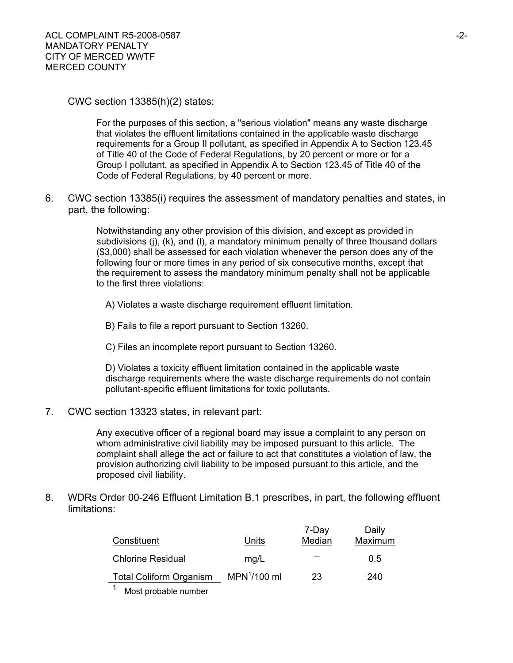### CWC section 13385(h)(2) states:

For the purposes of this section, a "serious violation" means any waste discharge that violates the effluent limitations contained in the applicable waste discharge requirements for a Group II pollutant, as specified in Appendix A to Section 123.45 of Title 40 of the Code of Federal Regulations, by 20 percent or more or for a Group I pollutant, as specified in Appendix A to Section 123.45 of Title 40 of the Code of Federal Regulations, by 40 percent or more.

6. CWC section 13385(i) requires the assessment of mandatory penalties and states, in part, the following:

> Notwithstanding any other provision of this division, and except as provided in subdivisions (j), (k), and (l), a mandatory minimum penalty of three thousand dollars (\$3,000) shall be assessed for each violation whenever the person does any of the following four or more times in any period of six consecutive months, except that the requirement to assess the mandatory minimum penalty shall not be applicable to the first three violations:

A) Violates a waste discharge requirement effluent limitation.

B) Fails to file a report pursuant to Section 13260.

C) Files an incomplete report pursuant to Section 13260.

D) Violates a toxicity effluent limitation contained in the applicable waste discharge requirements where the waste discharge requirements do not contain pollutant-specific effluent limitations for toxic pollutants.

7. CWC section 13323 states, in relevant part:

Any executive officer of a regional board may issue a complaint to any person on whom administrative civil liability may be imposed pursuant to this article. The complaint shall allege the act or failure to act that constitutes a violation of law, the provision authorizing civil liability to be imposed pursuant to this article, and the proposed civil liability.

8. WDRs Order 00-246 Effluent Limitation B.1 prescribes, in part, the following effluent limitations:

| Constituent                    | Units         | 7-Day<br>Median | Daily<br>Maximum |
|--------------------------------|---------------|-----------------|------------------|
| <b>Chlorine Residual</b>       | mq/L          |                 | 0.5              |
| <b>Total Coliform Organism</b> | $MPN1/100$ ml | 23              | 240              |
| Most probable number           |               |                 |                  |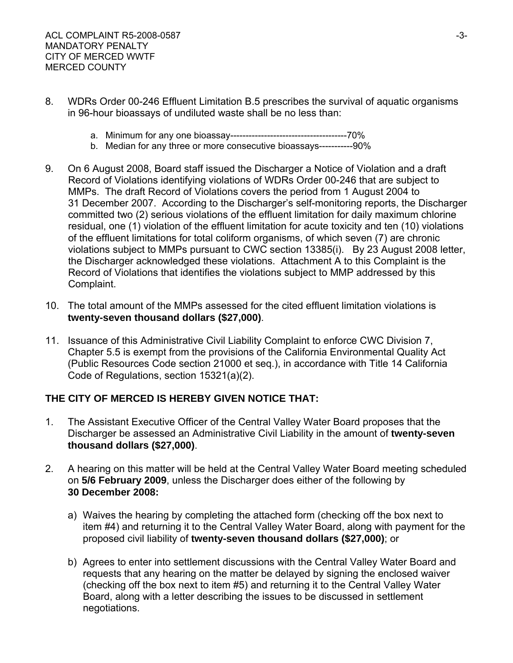- 8. WDRs Order 00-246 Effluent Limitation B.5 prescribes the survival of aquatic organisms in 96-hour bioassays of undiluted waste shall be no less than:
	- a. Minimum for any one bioassay--------------------------------------70%
	- b. Median for any three or more consecutive bioassays-----------90%
- 9. On 6 August 2008, Board staff issued the Discharger a Notice of Violation and a draft Record of Violations identifying violations of WDRs Order 00-246 that are subject to MMPs. The draft Record of Violations covers the period from 1 August 2004 to 31 December 2007. According to the Discharger's self-monitoring reports, the Discharger committed two (2) serious violations of the effluent limitation for daily maximum chlorine residual, one (1) violation of the effluent limitation for acute toxicity and ten (10) violations of the effluent limitations for total coliform organisms, of which seven (7) are chronic violations subject to MMPs pursuant to CWC section 13385(i). By 23 August 2008 letter, the Discharger acknowledged these violations. Attachment A to this Complaint is the Record of Violations that identifies the violations subject to MMP addressed by this Complaint.
- 10. The total amount of the MMPs assessed for the cited effluent limitation violations is **twenty-seven thousand dollars (\$27,000)**.
- 11. Issuance of this Administrative Civil Liability Complaint to enforce CWC Division 7, Chapter 5.5 is exempt from the provisions of the California Environmental Quality Act (Public Resources Code section 21000 et seq.), in accordance with Title 14 California Code of Regulations, section 15321(a)(2).

# **THE CITY OF MERCED IS HEREBY GIVEN NOTICE THAT:**

- 1. The Assistant Executive Officer of the Central Valley Water Board proposes that the Discharger be assessed an Administrative Civil Liability in the amount of **twenty-seven thousand dollars (\$27,000)**.
- 2. A hearing on this matter will be held at the Central Valley Water Board meeting scheduled on **5/6 February 2009**, unless the Discharger does either of the following by **30 December 2008:**
	- a) Waives the hearing by completing the attached form (checking off the box next to item #4) and returning it to the Central Valley Water Board, along with payment for the proposed civil liability of **twenty-seven thousand dollars (\$27,000)**; or
	- b) Agrees to enter into settlement discussions with the Central Valley Water Board and requests that any hearing on the matter be delayed by signing the enclosed waiver (checking off the box next to item #5) and returning it to the Central Valley Water Board, along with a letter describing the issues to be discussed in settlement negotiations.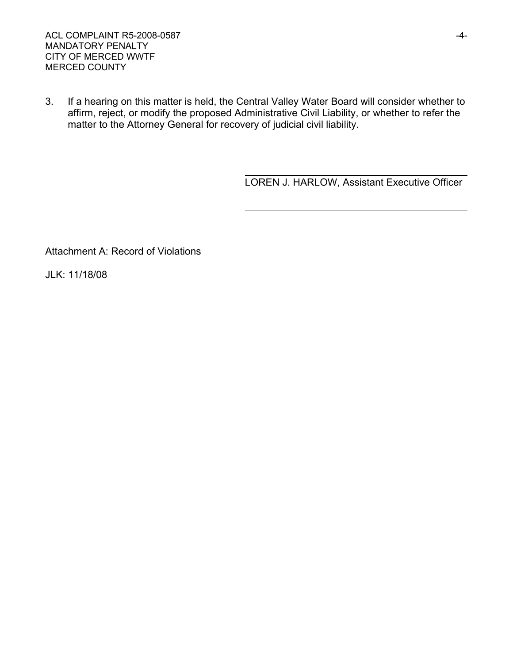3. If a hearing on this matter is held, the Central Valley Water Board will consider whether to affirm, reject, or modify the proposed Administrative Civil Liability, or whether to refer the matter to the Attorney General for recovery of judicial civil liability.

LOREN J. HARLOW, Assistant Executive Officer

Attachment A: Record of Violations

JLK: 11/18/08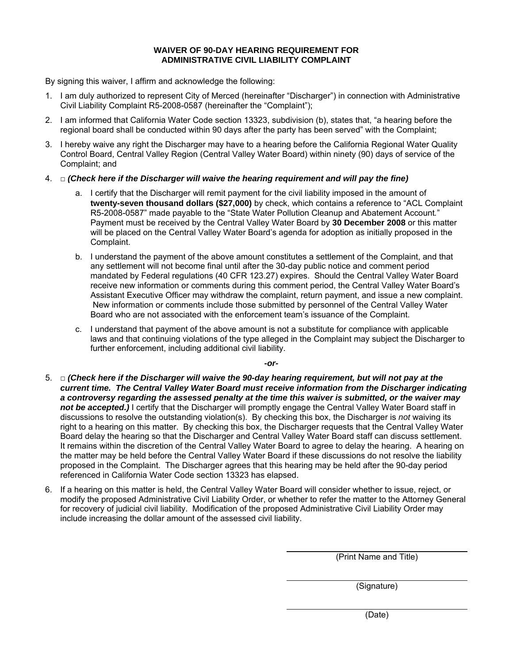#### **WAIVER OF 90-DAY HEARING REQUIREMENT FOR ADMINISTRATIVE CIVIL LIABILITY COMPLAINT**

By signing this waiver, I affirm and acknowledge the following:

- 1. I am duly authorized to represent City of Merced (hereinafter "Discharger") in connection with Administrative Civil Liability Complaint R5-2008-0587 (hereinafter the "Complaint");
- 2. I am informed that California Water Code section 13323, subdivision (b), states that, "a hearing before the regional board shall be conducted within 90 days after the party has been served" with the Complaint;
- 3. I hereby waive any right the Discharger may have to a hearing before the California Regional Water Quality Control Board, Central Valley Region (Central Valley Water Board) within ninety (90) days of service of the Complaint; and
- 4. □ *(Check here if the Discharger will waive the hearing requirement and will pay the fine)* 
	- a. I certify that the Discharger will remit payment for the civil liability imposed in the amount of **twenty-seven thousand dollars (\$27,000)** by check, which contains a reference to "ACL Complaint R5-2008-0587" made payable to the "State Water Pollution Cleanup and Abatement Account*.*" Payment must be received by the Central Valley Water Board by **30 December 2008** or this matter will be placed on the Central Valley Water Board's agenda for adoption as initially proposed in the Complaint.
	- b. I understand the payment of the above amount constitutes a settlement of the Complaint, and that any settlement will not become final until after the 30-day public notice and comment period mandated by Federal regulations (40 CFR 123.27) expires. Should the Central Valley Water Board receive new information or comments during this comment period, the Central Valley Water Board's Assistant Executive Officer may withdraw the complaint, return payment, and issue a new complaint. New information or comments include those submitted by personnel of the Central Valley Water Board who are not associated with the enforcement team's issuance of the Complaint.
	- c. I understand that payment of the above amount is not a substitute for compliance with applicable laws and that continuing violations of the type alleged in the Complaint may subject the Discharger to further enforcement, including additional civil liability.

*-or-*

- 5. □ *(Check here if the Discharger will waive the 90-day hearing requirement, but will not pay at the current time. The Central Valley Water Board must receive information from the Discharger indicating a controversy regarding the assessed penalty at the time this waiver is submitted, or the waiver may*  not be accepted.) I certify that the Discharger will promptly engage the Central Valley Water Board staff in discussions to resolve the outstanding violation(s). By checking this box, the Discharger is *not* waiving its right to a hearing on this matter. By checking this box, the Discharger requests that the Central Valley Water Board delay the hearing so that the Discharger and Central Valley Water Board staff can discuss settlement. It remains within the discretion of the Central Valley Water Board to agree to delay the hearing. A hearing on the matter may be held before the Central Valley Water Board if these discussions do not resolve the liability proposed in the Complaint. The Discharger agrees that this hearing may be held after the 90-day period referenced in California Water Code section 13323 has elapsed.
- 6. If a hearing on this matter is held, the Central Valley Water Board will consider whether to issue, reject, or modify the proposed Administrative Civil Liability Order, or whether to refer the matter to the Attorney General for recovery of judicial civil liability. Modification of the proposed Administrative Civil Liability Order may include increasing the dollar amount of the assessed civil liability.

(Print Name and Title)

(Signature)

(Date)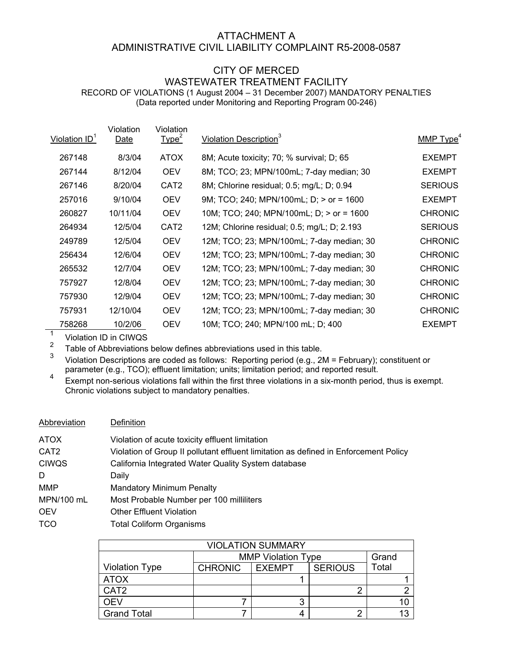## ATTACHMENT A ADMINISTRATIVE CIVIL LIABILITY COMPLAINT R5-2008-0587

### CITY OF MERCED WASTEWATER TREATMENT FACILITY RECORD OF VIOLATIONS (1 August 2004 – 31 December 2007) MANDATORY PENALTIES (Data reported under Monitoring and Reporting Program 00-246)

| Violation ID <sup>1</sup> | Violation<br><u>Date</u> | Violation<br>Type <sup>2</sup> | Violation Description <sup>3</sup>          | MMP Type <sup>4</sup> |
|---------------------------|--------------------------|--------------------------------|---------------------------------------------|-----------------------|
| 267148                    | 8/3/04                   | <b>ATOX</b>                    | 8M; Acute toxicity; 70; % survival; D; 65   | <b>EXEMPT</b>         |
| 267144                    | 8/12/04                  | <b>OEV</b>                     | 8M; TCO; 23; MPN/100mL; 7-day median; 30    | <b>EXEMPT</b>         |
| 267146                    | 8/20/04                  | CAT2                           | 8M; Chlorine residual; 0.5; mg/L; D; 0.94   | <b>SERIOUS</b>        |
| 257016                    | 9/10/04                  | <b>OEV</b>                     | 9M; TCO; 240; MPN/100mL; D; > or = 1600     | <b>EXEMPT</b>         |
| 260827                    | 10/11/04                 | <b>OEV</b>                     | 10M; TCO; 240; MPN/100mL; D; > or = 1600    | <b>CHRONIC</b>        |
| 264934                    | 12/5/04                  | CAT <sub>2</sub>               | 12M; Chlorine residual; 0.5; mg/L; D; 2.193 | <b>SERIOUS</b>        |
| 249789                    | 12/5/04                  | <b>OEV</b>                     | 12M; TCO; 23; MPN/100mL; 7-day median; 30   | <b>CHRONIC</b>        |
| 256434                    | 12/6/04                  | <b>OEV</b>                     | 12M; TCO; 23; MPN/100mL; 7-day median; 30   | <b>CHRONIC</b>        |
| 265532                    | 12/7/04                  | <b>OEV</b>                     | 12M; TCO; 23; MPN/100mL; 7-day median; 30   | <b>CHRONIC</b>        |
| 757927                    | 12/8/04                  | <b>OEV</b>                     | 12M; TCO; 23; MPN/100mL; 7-day median; 30   | <b>CHRONIC</b>        |
| 757930                    | 12/9/04                  | <b>OEV</b>                     | 12M; TCO; 23; MPN/100mL; 7-day median; 30   | <b>CHRONIC</b>        |
| 757931                    | 12/10/04                 | <b>OEV</b>                     | 12M; TCO; 23; MPN/100mL; 7-day median; 30   | <b>CHRONIC</b>        |
| 758268                    | 10/2/06                  | <b>OEV</b>                     | 10M; TCO; 240; MPN/100 mL; D; 400           | <b>EXEMPT</b>         |

 $\frac{1}{2}$  Violation ID in CIWQS

<sup>2</sup> Table of Abbreviations below defines abbreviations used in this table.<br><sup>3</sup> Mislation Descriptions are soded as follower Penerting neriod (e.g., 2)

<sup>3</sup> Violation Descriptions are coded as follows: Reporting period (e.g., 2M = February); constituent or parameter (e.g., TCO); effluent limitation; units; limitation period; and reported result.

Exempt non-serious violations fall within the first three violations in a six-month period, thus is exempt. Chronic violations subject to mandatory penalties.

| Abbreviation     | Definition                                                                           |
|------------------|--------------------------------------------------------------------------------------|
| <b>ATOX</b>      | Violation of acute toxicity effluent limitation                                      |
| CAT <sub>2</sub> | Violation of Group II pollutant effluent limitation as defined in Enforcement Policy |
| <b>CIWQS</b>     | California Integrated Water Quality System database                                  |
| D                | Dailv                                                                                |
| <b>MMP</b>       | <b>Mandatory Minimum Penalty</b>                                                     |
| MPN/100 mL       | Most Probable Number per 100 milliliters                                             |
| <b>OEV</b>       | <b>Other Effluent Violation</b>                                                      |
| <b>TCO</b>       | Total Coliform Organisms                                                             |

| <b>VIOLATION SUMMARY</b> |                           |               |                |       |  |
|--------------------------|---------------------------|---------------|----------------|-------|--|
|                          | <b>MMP Violation Type</b> |               |                | Grand |  |
| <b>Violation Type</b>    | <b>CHRONIC</b>            | <b>EXEMPT</b> | <b>SERIOUS</b> | Total |  |
| <b>ATOX</b>              |                           |               |                |       |  |
| CAT <sub>2</sub>         |                           |               |                |       |  |
| OFV                      |                           | 3             |                |       |  |
| <b>Grand Total</b>       |                           | 4             | ◠              |       |  |